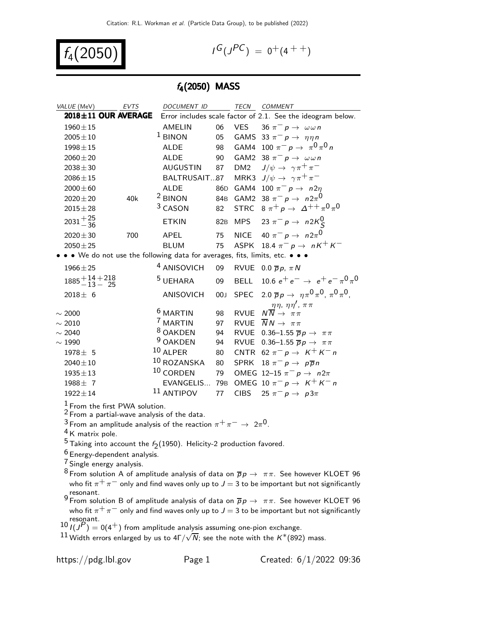$$
f_4(2050) \qquad \qquad \blacksquare
$$

$$
G(J^{PC}) = 0^+(4^{++})
$$

### $f_4(2050)$  MASS

| VALUE (MeV)                   | EVTS                | <b>DOCUMENT ID</b>                                                          |     | <b>TECN</b>     | <b>COMMENT</b>                                                        |
|-------------------------------|---------------------|-----------------------------------------------------------------------------|-----|-----------------|-----------------------------------------------------------------------|
|                               | 2018±11 OUR AVERAGE |                                                                             |     |                 | Error includes scale factor of 2.1. See the ideogram below.           |
| $1960 \pm 15$                 |                     | AMELIN                                                                      | 06  |                 | VES 36 $\pi^- p \to \omega \omega n$                                  |
| $2005 \pm 10$                 |                     | $1$ BINON                                                                   | 05  |                 | GAMS 33 $\pi^- p \rightarrow \eta \eta n$                             |
| $1998 \pm 15$                 |                     | <b>ALDE</b>                                                                 | 98  |                 | GAM4 100 $\pi^- p \to \pi^0 \pi^0 n$                                  |
| $2060 \pm 20$                 |                     | <b>ALDE</b>                                                                 | 90  |                 | GAM2 38 $\pi^- p \rightarrow \omega \omega n$                         |
| $2038 \pm 30$                 |                     | <b>AUGUSTIN</b>                                                             | 87  | DM <sub>2</sub> | $J/\psi \rightarrow \gamma \pi^+ \pi^-$                               |
| $2086 \pm 15$                 |                     | BALTRUSAIT87                                                                |     |                 | MRK3 $J/\psi \rightarrow \gamma \pi^+ \pi^-$                          |
| $2000 \pm 60$                 |                     | <b>ALDE</b>                                                                 | 86D |                 | GAM4 100 $\pi^ p \rightarrow n2\eta$                                  |
| $2020 \pm 20$                 | 40k                 | $2$ BINON                                                                   |     |                 | 84B GAM2 38 $\pi^- p \to n 2\pi^0$                                    |
| $2015 \pm 28$                 |                     | <sup>3</sup> CASON                                                          | 82  |                 | STRC $8 \pi^+ p \rightarrow \Delta^{++} \pi^0 \pi^0$                  |
| $2031 + \frac{25}{36}$        |                     | <b>ETKIN</b>                                                                |     |                 | 82B MPS 23 $\pi^- p \to n 2K^0_S$                                     |
| $2020 \pm 30$                 | 700                 | APEL                                                                        | 75  |                 | NICE 40 $\pi^- p \rightarrow n 2\pi^0$                                |
| $2050 \pm 25$                 |                     | <b>BLUM</b>                                                                 | 75  |                 | ASPK 18.4 $\pi^-$ p $\rightarrow$ nK <sup>+</sup> K <sup>-</sup>      |
|                               |                     | • • We do not use the following data for averages, fits, limits, etc. • • • |     |                 |                                                                       |
| $1966 \pm 25$                 |                     | <sup>4</sup> ANISOVICH                                                      | 09  |                 | RVUE 0.0 $\overline{p}p$ , $\pi N$                                    |
| $1885 + 14 + 218$<br>-13 - 25 |                     | <sup>5</sup> UEHARA                                                         | 09  |                 | BELL 10.6 $e^+e^- \rightarrow e^+e^- \pi^0 \pi^0$                     |
| $2018 \pm 6$                  |                     | <b>ANISOVICH</b>                                                            | 00J |                 | SPEC 2.0 $\bar{p}p \to \eta \pi^0 \pi^0$ , $\pi^0 \pi^0$ ,            |
| $\sim 2000$                   |                     | <sup>6</sup> MARTIN                                                         | 98  |                 | RVUE $N \frac{\eta \eta, \eta \eta', \pi \pi}{N \rightarrow \pi \pi}$ |
| $\sim 2010$                   |                     | <sup>7</sup> MARTIN                                                         | 97  | <b>RVUE</b>     | $\overline{N}N \rightarrow \pi\pi$                                    |
| $\sim 2040$                   |                     | <sup>8</sup> OAKDEN                                                         | 94  | <b>RVUE</b>     | 0.36–1.55 $\overline{p}p \rightarrow \pi \pi$                         |
| $\sim 1990$                   |                     | <sup>9</sup> OAKDEN                                                         | 94  | <b>RVUE</b>     | 0.36-1.55 $\overline{p}p \rightarrow \pi \pi$                         |
| $1978 \pm 5$                  |                     | $10$ ALPER                                                                  | 80  |                 | CNTR 62 $\pi^- p \rightarrow K^+ K^- n$                               |
| $2040 \pm 10$                 |                     | 10 ROZANSKA                                                                 | 80  | <b>SPRK</b>     | $18 \pi^- p \rightarrow p \overline{p} n$                             |
| $1935 \pm 13$                 |                     | $10$ CORDEN                                                                 | 79  |                 | OMEG 12-15 $\pi^ p \to n2\pi$                                         |
| $1988 \pm 7$                  |                     | EVANGELIS 79B                                                               |     |                 | OMEG 10 $\pi^- p \rightarrow K^+ K^- n$                               |
| $1922 \pm 14$                 |                     | $11$ ANTIPOV                                                                | 77  |                 | CIBS 25 $\pi^- p \rightarrow p3\pi$                                   |
|                               |                     |                                                                             |     |                 |                                                                       |

 $\frac{1}{2}$  From the first PWA solution.

 $^2$  From a partial-wave analysis of the data.

 $\frac{3}{4}$  From an amplitude analysis of the reaction  $\pi^+\pi^-\to 2\pi^0$ .

4 K matrix pole.

 $^5$  Taking into account the  $f_2(1950)$ . Helicity-2 production favored.

6 Energy-dependent analysis.

7 Single energy analysis.

 $^8$ From solution A of amplitude analysis of data on  $\overline{p}p \rightarrow \pi \pi$ . See however KLOET 96 who fit  $\pi^+ \pi^-$  only and find waves only up to  $J$   $=$  3 to be important but not significantly resonant.

9 From solution B of amplitude analysis of data on  $\overline{p}p \to \pi \pi$ . See however KLOET 96 who fit  $\pi^+ \pi^-$  only and find waves only up to  $J = 3$  to be important but not significantly

10  $I(J^P) = 0(4^+)$  from amplitude analysis assuming one-pion exchange.

 $^{11}$  Width errors enlarged by us to 4Γ/ $\sqrt{N}$ ; see the note with the K\*(892) mass.

https://pdg.lbl.gov Page 1 Created:  $6/1/2022$  09:36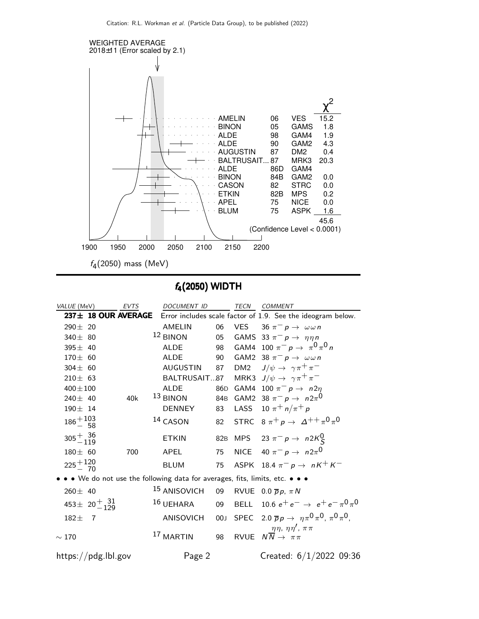

f4(2050) WIDTH

| VALUE (MeV)                                                                 | <b>EVTS</b> | <b>DOCUMENT ID</b>      |    | TECN COMMENT                                                          |
|-----------------------------------------------------------------------------|-------------|-------------------------|----|-----------------------------------------------------------------------|
| $237 \pm 18$ OUR AVERAGE                                                    |             |                         |    | Error includes scale factor of 1.9. See the ideogram below.           |
| $290 \pm 20$                                                                |             | AMELIN                  | 06 | $VES = 36 \pi^- p \rightarrow \omega \omega n$                        |
| 340 $\pm$ 80                                                                |             | $12$ BINON              |    | 05 GAMS 33 $\pi^- p \rightarrow \eta \eta n$                          |
| $395 \pm 40$                                                                |             | <b>ALDE</b>             |    | 98 GAM4 100 $\pi^- p \to \pi^0 \pi^0 n$                               |
| $170 \pm 60$                                                                |             | <b>ALDE</b>             | 90 | GAM2 38 $\pi^- p \rightarrow \omega \omega n$                         |
| $304 \pm 60$                                                                |             | AUGUSTIN                | 87 | DM2 $J/\psi \rightarrow \gamma \pi^+ \pi^-$                           |
| $210 \pm 63$                                                                |             | BALTRUSAIT87            |    | MRK3 $J/\psi \rightarrow \gamma \pi^+ \pi^-$                          |
| $400 \pm 100$                                                               |             | <b>ALDE</b>             |    | 86D GAM4 100 $\pi^- p \to n 2n$                                       |
| 240 $\pm$ 40                                                                | 40k         | $13$ BINON              |    | 84B GAM2 38 $\pi^- p \to n 2\pi^0$                                    |
| $190 \pm 14$                                                                |             | DENNEY                  | 83 | LASS 10 $\pi^{+} n/\pi^{+} p$                                         |
| $186 + {103 \over 58}$                                                      |             | 14 CASON                |    | 82 STRC $8 \pi^+ p \to \Delta^{++} \pi^0 \pi^0$                       |
| $305 + \frac{36}{119}$                                                      |             | <b>ETKIN</b>            |    | 82B MPS 23 $\pi^- p \to n2K^0_S$                                      |
| $180 \pm 60$                                                                | 700         | APEL                    | 75 | NICE $40 \pi^- p \rightarrow n 2\pi^0$                                |
| $225 + 120$                                                                 |             | <b>BLUM</b>             | 75 | ASPK 18.4 $\pi^-$ p $\rightarrow$ nK <sup>+</sup> K <sup>-</sup>      |
| • • We do not use the following data for averages, fits, limits, etc. • • • |             |                         |    |                                                                       |
| $260 \pm 40$                                                                |             | <sup>15</sup> ANISOVICH |    | 09 RVUE 0.0 $\overline{p}p$ , $\pi N$                                 |
| 453 ± $20^{+}$ $^{31}_{-129}$                                               |             | $16$ UEHARA             |    | 09 BELL 10.6 $e^+e^- \rightarrow e^+e^- \pi^0 \pi^0$                  |
| $182 +$<br>$\overline{7}$                                                   |             | <b>ANISOVICH</b>        |    | 00J SPEC 2.0 $\overline{p}p \to \eta \pi^0 \pi^0$ , $\pi^0 \pi^0$ ,   |
| $\sim 170$                                                                  |             | 17 MARTIN               | 98 | RVUE $N \frac{\eta \eta, \eta \eta', \pi \pi}{N \rightarrow \pi \pi}$ |
| https://pdg.lbl.gov                                                         |             | Page 2                  |    | Created: $6/1/2022$ 09:36                                             |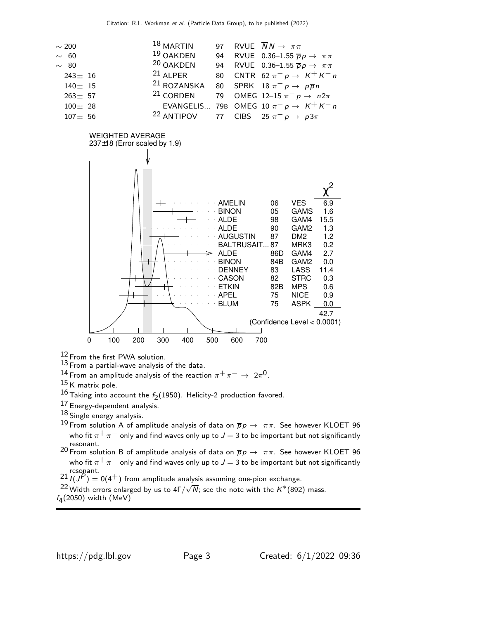



 $12$  From the first PWA solution.

13 From a partial-wave analysis of the data.

 $^{14}$  From an amplitude analysis of the reaction  $\pi^+\pi^-\rightarrow\ 2\pi^0$ .

 $15$  K matrix pole.

 $^{16}$  Taking into account the  $f_2(1950)$ . Helicity-2 production favored.

17 Energy-dependent analysis.

 $18$  Single energy analysis.

- 19 From solution A of amplitude analysis of data on  $\overline{p}p \to \pi \pi$ . See however KLOET 96 who fit  $\pi^+ \pi^-$  only and find waves only up to  $J = 3$  to be important but not significantly resonant.
- <sup>20</sup> From solution B of amplitude analysis of data on  $\overline{p}p \to \pi \pi$ . See however KLOET 96 who fit  $\pi^+ \pi^-$  only and find waves only up to  $J = 3$  to be important but not significantly resonant.

 $2^{21} I(J^{P}) = 0(4^{+})$  from amplitude analysis assuming one-pion exchange.

<sup>22</sup> Width errors enlarged by us to  $4\Gamma/\sqrt{N}$ ; see the note with the  $K^*(892)$  mass.  $f_4(2050)$  width (MeV)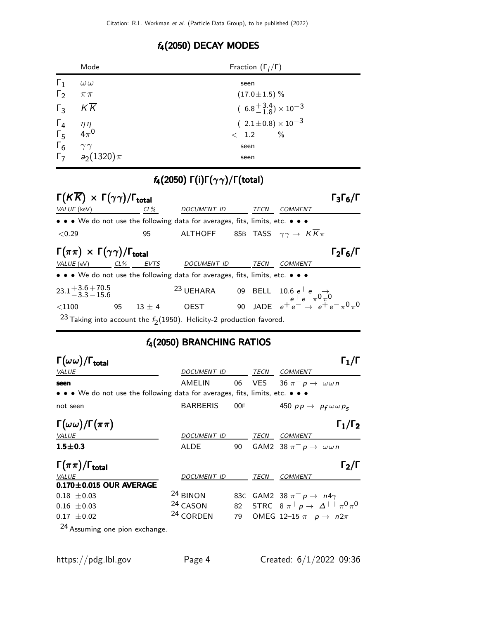## f4(2050) DECAY MODES

|                                                                         | Mode                       | Fraction $(\Gamma_i/\Gamma)$       |  |  |  |  |
|-------------------------------------------------------------------------|----------------------------|------------------------------------|--|--|--|--|
| $\Gamma_1$                                                              | $\omega\,\omega$           | seen                               |  |  |  |  |
| $\Gamma_2$                                                              | $\pi\,\pi$                 | $(17.0 \pm 1.5)\%$                 |  |  |  |  |
|                                                                         | $\Gamma_3$ $K\overline{K}$ | $(6.8^{+3.4}_{-1.8})\times10^{-3}$ |  |  |  |  |
|                                                                         |                            | $(2.1 \pm 0.8) \times 10^{-3}$     |  |  |  |  |
| $\begin{matrix} \Gamma_4 & \eta \eta \\ \Gamma_5 & 4\pi^0 \end{matrix}$ |                            | $\%$<br>< 1.2                      |  |  |  |  |
| $\Gamma_6$                                                              | $\gamma \gamma$            | seen                               |  |  |  |  |
|                                                                         | $\Gamma_7$ $a_2(1320)\pi$  | seen                               |  |  |  |  |

# f4(2050) Γ(i)Γ(γ γ)/Γ(total)

| $\Gamma(K\overline{K}) \times \Gamma(\gamma\gamma)/\Gamma_{\text{total}}$          |    |          |                                                                                                                                    |  |      |                | $\Gamma_3\Gamma_6$ /I     |
|------------------------------------------------------------------------------------|----|----------|------------------------------------------------------------------------------------------------------------------------------------|--|------|----------------|---------------------------|
| VALUE (keV)                                                                        |    | $CL\%$   | DOCUMENT ID                                                                                                                        |  | TECN | <b>COMMENT</b> |                           |
|                                                                                    |    |          | • • • We do not use the following data for averages, fits, limits, etc. • • •                                                      |  |      |                |                           |
| < 0.29                                                                             |    | 95       | ALTHOFF 85B TASS $\gamma \gamma \rightarrow K \overline{K} \pi$                                                                    |  |      |                |                           |
| $\Gamma(\pi\pi) \times \Gamma(\gamma\gamma)/\Gamma_{\text{total}}$                 |    |          |                                                                                                                                    |  |      |                | $\Gamma_2\Gamma_6/\Gamma$ |
| VALUE (eV)                                                                         |    | CL% EVTS | DOCUMENT ID                                                                                                                        |  | TECN | COMMENT        |                           |
| • • • We do not use the following data for averages, fits, limits, etc. • • •      |    |          |                                                                                                                                    |  |      |                |                           |
| $23.1 + 3.6 + 70.5$<br>$-3.3 - 15.6$                                               |    |          | 23 UEHARA 09 BELL $10.6 e^+ e^- \rightarrow e^+ e^- \rightarrow 0 \pi^0$<br>OEST 90 JADE $e^+ e^- \rightarrow e^+ e^- \pi^0 \pi^0$ |  |      |                |                           |
| $<$ 1100                                                                           | 95 | $13 + 4$ |                                                                                                                                    |  |      |                |                           |
| <sup>23</sup> Taking into account the $f_2(1950)$ . Helicity-2 production favored. |    |          |                                                                                                                                    |  |      |                |                           |

## f4(2050) BRANCHING RATIOS

| $\Gamma(\omega\omega)/\Gamma_{\rm total}$                                     |                      |     |      | $\Gamma_1/\Gamma$                                    |
|-------------------------------------------------------------------------------|----------------------|-----|------|------------------------------------------------------|
| VALUE                                                                         | DOCUMENT ID          |     | TECN | COMMENT                                              |
| seen                                                                          | AMELIN               | 06  | VES. | $36 \pi^- p \rightarrow \omega \omega n$             |
| • • • We do not use the following data for averages, fits, limits, etc. • • • |                      |     |      |                                                      |
| not seen                                                                      | <b>BARBERIS</b>      | 00F |      | 450 $pp \rightarrow p_f \omega \omega p_s$           |
| $\Gamma(\omega\omega)/\Gamma(\pi\pi)$                                         |                      |     |      | $\Gamma_1/\Gamma_2$                                  |
| <b>VALUE</b>                                                                  | DOCUMENT ID          |     | TECN | <b>COMMENT</b>                                       |
| $1.5 \pm 0.3$                                                                 | ALDE                 | 90  |      | GAM2 38 $\pi^- p \rightarrow \omega \omega n$        |
| $\Gamma(\pi\pi)/\Gamma_{\rm total}$                                           |                      |     |      | $\mathsf{\Gamma_2}/\mathsf{\Gamma}$                  |
| VALUE                                                                         | <b>DOCUMENT ID</b>   |     | TECN | <b>COMMENT</b>                                       |
| $0.170 \pm 0.015$ OUR AVERAGE                                                 |                      |     |      |                                                      |
| $0.18 \pm 0.03$                                                               | <sup>24</sup> BINON  | 83C |      | GAM2 38 $\pi^ p \rightarrow n4\gamma$                |
| $0.16 \pm 0.03$                                                               | <sup>24</sup> CASON  | 82  |      | STRC $8 \pi^+ p \rightarrow \Delta^{++} \pi^0 \pi^0$ |
| $0.17 \pm 0.02$                                                               | <sup>24</sup> CORDEN | 79  |      | OMEG 12-15 $\pi^ p \rightarrow n2\pi$                |
| 24.                                                                           |                      |     |      |                                                      |

 $^{24}$  Assuming one pion exchange.